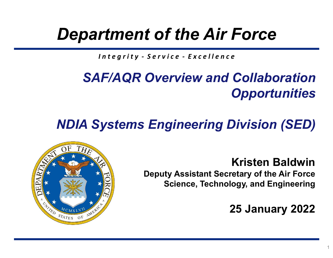### Department of the Air Force

# **rtment of the Air Force**<br>Integrity - Service - Excellence<br>IF/AQR Overview and Collaboration SAF/AQR Overview and Collaboration **Opportunities**

### NDIA Systems Engineering Division (SED)

Kristen Baldwin Deputy Assistant Secretary of the Air Force Science, Technology, and Engineering

25 January 2022

1

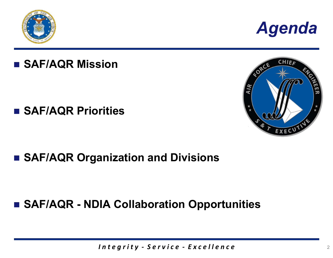



#### **SAF/AQR Mission**

#### **SAF/AQR Priorities**



#### ■ SAF/AQR Organization and Divisions

# anization and Divisions<br>IA Collaboration Opportunities<br>Integrity - Service - Excellence SAF/AQR Priorities<br>
SAF/AQR Organization and Divisions<br>
SAF/AQR - NDIA Collaboration Opportunities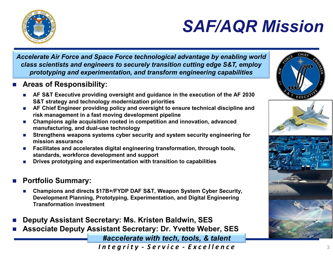

### SAF/AQR Mission

Accelerate Air Force and Space Force technological advantage by enabling world class scientists and engineers to securely transition cutting edge S&T, employ prototyping and experimentation, and transform engineering capabilities

- **Areas of Responsibility:** 
	- **AF S&T Executive providing oversight and guidance in the execution of the AF 2030** S&T strategy and technology modernization priorities
	- **AF Chief Engineer providing policy and oversight to ensure technical discipline and** risk management in a fast moving development pipeline
	- Champions agile acquisition rooted in competition and innovation, advanced manufacturing, and dual-use technology
	- **Strengthens weapons systems cyber security and system security engineering for** mission assurance
	- Facilitates and accelerates digital engineering transformation, through tools, standards, workforce development and support
	- Drives prototyping and experimentation with transition to capabilities

#### Portfolio Summary:

- Champions and directs \$17B+/FYDP DAF S&T, Weapon System Cyber Security, Development Planning, Prototyping, Experimentation, and Digital Engineering Transformation investment
- Deputy Assistant Secretary: Ms. Kristen Baldwin, SES
- Associate Deputy Assistant Secretary: Dr. Yvette Weber, SES

#accelerate with tech, tools, & talent



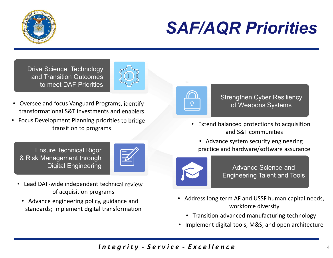

### SAF/AQR Priorities

Drive Science, Technology and Transition Outcomes to meet DAF Priorities



- Oversee and focus Vanguard Programs, identify transformational S&T investments and enablers
- Focus Development Planning priorities to bridge transition to programs

Ensure Technical Rigor & Risk Management through Digital Engineering



- Lead DAF-wide independent technical review of acquisition programs
	- Advance engineering policy, guidance and standards; implement digital transformation



**Strengthen Cyber Resiliency** of Weapons Systems

• Extend balanced protections to acquisition and S&T communities

• Advance system security engineering practice and hardware/software assurance



Advance Science and Engineering Talent and Tools

- France System security engineering<br>
In the grantical review<br>
I n t e grify Service Excellence<br>
Integrity Service Excellence<br>
Service Excellence<br>
Service Excellence<br>
Strange Science and<br>
I transformation<br>
Integr • Address long term AF and USSF human capital needs, workforce diversity
	- Transition advanced manufacturing technology
	- Implement digital tools, M&S, and open architecture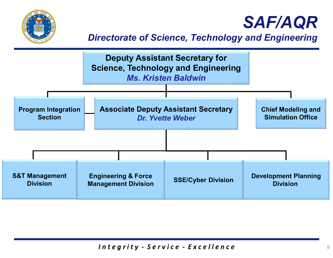

### SAF/AQR

#### Directorate of Science, Technology and Engineering

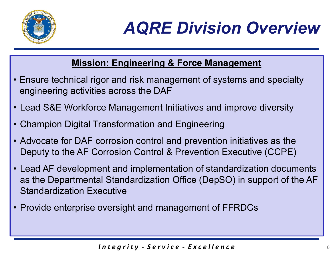

## AQRE Division Overview

#### Mission: Engineering & Force Management

- **AQRE Division Overview<br>
 Ensure technical rigor and risk management of systems and specialty<br>
 Lead S&F Workforce Management Initiatives and improve diversity** engineering activities across the DAF **AQRE Division Overview**<br>
• Ensure technical rigor and risk management of systems and specialty<br>
• Ensure technical rigor and risk management of systems and specialty<br>
• Champion Digital Transformation and Engineering<br>
• C **EXAMPLE DIVISION OVERVITHERED ASSETS AND MISSION DEATH OF STATE OF STATE OF A SALE Workforce Management of systems and special engineering activities across the DAF<br>• Lead S&E Workforce Management Initiatives and improve**
- 
- 
- Mission: Engineering & Force Management<br>• Ensure technical rigor and risk management of systems and specialty<br>• Chad S&E Workforce Management Initiatives and improve diversity<br>• Champion Digital Transformation and Engineer Deputy to the AF Corrosion Control & Prevention Executive (CCPE)
- Forosion control and prevention initiatives as the<br>orrosion Control & Prevention Executive (CCPE)<br>ent and implementation of standardization documents<br>al Standardization Office (DepSO) in support of the AF<br>ecutive<br>oversight **Mission: Engineering & Force Management**<br>
• Ensure technical rigor and risk management of systems and specialty<br>
• Lead S&E Workforce Management Initiatives and improve diversity<br>
• Champion Digital Transformation and Eng as the Departmental Standardization Office (DepSO) in support of the AF Standardization Executive • Lead S&E Workforce Management Initiatives and improve diversity<br>
• Champion Digital Transformation and Engineering<br>
• Advocate for DAF corrosion control and prevention initiatives as the<br>
Deputy to the AF Corrosion Contr
-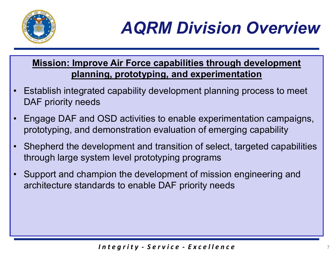

# AQRM Division Overview

Mission: Improve Air Force capabilities through development planning, prototyping, and experimentation

- **External of ACRM Division Overview<br>
Mission: Improve Air Force capabilities through development<br>
 Establish integrated capability development planning process to meet<br>
DAF priority needs<br>
 Engage DAE and OSD activities** DAF priority needs
- **ENGIN DIVISION OVERVIEW<br>
Mission: Improve Air Force capabilities through development<br>
 Establish integrated capability development planning process to meet<br>
DAF priority needs<br>
 Engage DAF and OSD activities to enable e** prototyping, and demonstration evaluation of emerging capability
- Elopment and transition of select, targeted capabilities<br>
em level prototyping programs<br>
pion the development of mission engineering and<br>
ards to enable DAF priority needs<br>
Integrity Service Excellence Mission: Improve Air Force capabilities through development<br>
planning, prototyping, and experimentation<br>
• Establish integrated capability development planning process to meet<br>
DAF priority needs<br>
• Engage DAF and OSD acti through large system level prototyping programs • Establish integrated capability development planning process to meet<br>
DAF priority needs<br>
• Engage DAF and OSD activities to enable experimentation campaigns,<br>
prototyping, and demonstration evaluation of emerging capabi
- architecture standards to enable DAF priority needs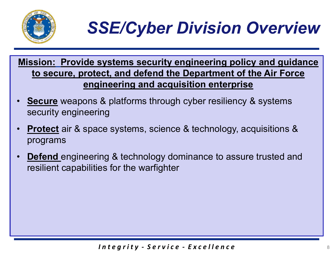

## SSE/Cyber Division Overview

SSE/Cyber Division Overview<br>Mission: Provide systems security engineering policy and guidance<br>to secure, protect, and defend the Department of the Air Force<br>engineering and acquisition enterprise to secure, protect, and defend the Department of the Air Force engineering and acquisition enterprise

- Secure weapons & platforms through cyber resiliency & systems security engineering
- **Protect** air & space systems, science & technology, acquisitions & programs
- Ing & technology dominance to assure trusted and<br>
es for the warfighter<br>
Integrity Service Excellence **Defend** engineering & technology dominance to assure trusted and resilient capabilities for the warfighter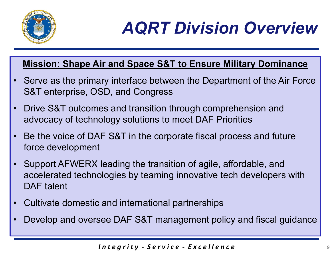

# AQRT Division Overview

#### Mission: Shape Air and Space S&T to Ensure Military Dominance

- **AQRT Division Overview<br>
Mission: Shape Air and Space S&T to Ensure Military Dominance<br>
 Serve as the primary interface between the Department of the Air Force<br>
S&T enterprise, OSD, and Congress<br>
 Drive S&T outcomes and** S&T enterprise, OSD, and Congress **EXECUTE:**<br>
• Serve as the primary interface between the Department of the Air Force<br>
• S&T enterprise, OSD, and Congress<br>
• Drive S&T outcomes and transition through comprehension and<br>
• Re the voice of DAE S&T in the cor **AQRT Division Overview**<br>Mission: Shape Air and Space S&T to Ensure Military Dominance<br>Serve as the primary interface between the Department of the Air Force<br>S&T enterprise, OSD, and Congress<br>Drive S&T outcomes and transit **EXECUTE OF A FILM STOTT OVER VIEW**<br>
Mission: Shape Air and Space S&T to Ensure Military Dominance<br>
• Serve as the primary interface between the Department of the Air Force<br>
S&T enterprise, OSD, and Congress<br>
• Drive S&T o
- 
- force development
- I leading the transition of agile, affordable, and<br>plogies by teaming innovative tech developers with<br>and international partnerships<br>see DAF S&T management policy and fiscal guidance<br>and the same set of the set of the set Mission: Shape Air and Space S&T to Ensure Military Dominance<br>
• Serve as the primary interface between the Department of the Air Force<br>
S&T enterprise, OSD, and Congress<br>
• Drive S&T outcomes and transition through compre accelerated technologies by teaming innovative tech developers with DAF talent • Drive S&T outcomes and transition through comprehension and advocacy of technology solutions to meet DAF Priorities<br>• Be the voice of DAF S&T in the corporate fiscal process and futu<br>force development<br>• Support AFWERX le experience of DAF S&T in the corporate fiscal process and future<br>
• Be the voice of DAF S&T in the corporate fiscal process and future<br>
• Support AFWERX leading the transition of agile, affordable, and<br>
accelerated technol
- 
-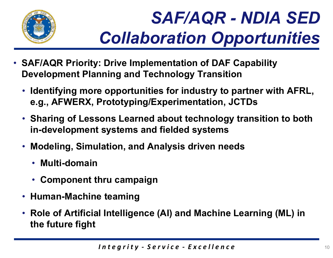

- SAF/AQR Priority: Drive Implementation of DAF Capability Development Planning and Technology Transition
	- Identifying more opportunities for industry to partner with AFRL, e.g., AFWERX, Prototyping/Experimentation, JCTDs
	- Sharing of Lessons Learned about technology transition to both in-development systems and fielded systems
	- Modeling, Simulation, and Analysis driven needs
		- Multi-domain
		- Component thru campaign
	- Human-Machine teaming
	- Iation, and Analysis driven needs<br>hru campaign<br>e teaming<br>I Intelligence (AI) and Machine Learning (ML) in<br>Integrity Service Excellence • Role of Artificial Intelligence (AI) and Machine Learning (ML) in the future fight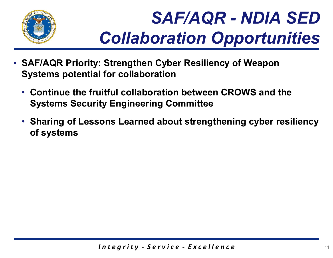

- SAF/AQR Priority: Strengthen Cyber Resiliency of Weapon Systems potential for collaboration
	- Continue the fruitful collaboration between CROWS and the Systems Security Engineering Committee
	- Sharing of Lessons Learned about strengthening cyber resiliency of systems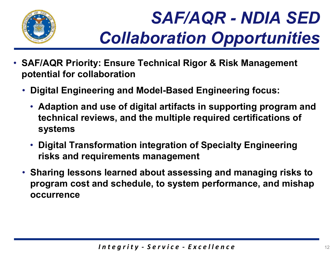

- SAF/AQR Priority: Ensure Technical Rigor & Risk Management potential for collaboration
	- Digital Engineering and Model-Based Engineering focus:
		- Adaption and use of digital artifacts in supporting program and technical reviews, and the multiple required certifications of systems
		- Digital Transformation integration of Specialty Engineering risks and requirements management
	- ormation integration of Specialty Engineering<br>uirements management<br>s learned about assessing and managing risks to<br>nd schedule, to system performance, and mishap<br>Integrity Service Excellence • Sharing lessons learned about assessing and managing risks to program cost and schedule, to system performance, and mishap occurrence